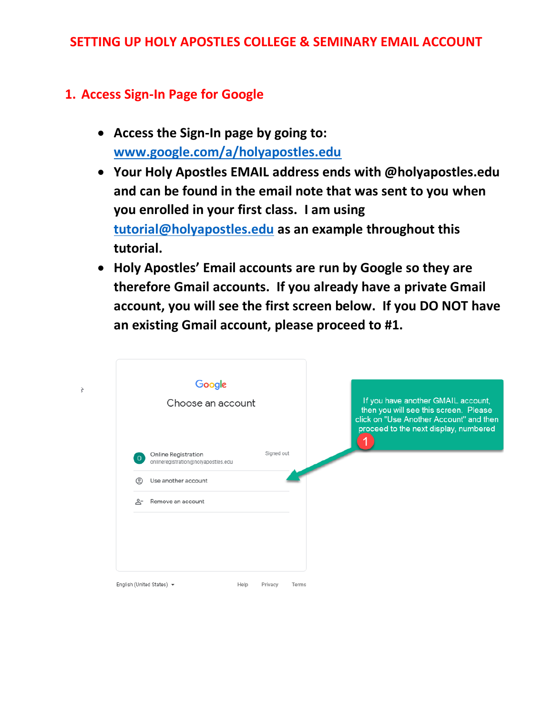### **SETTING UP HOLY APOSTLES COLLEGE & SEMINARY EMAIL ACCOUNT**

## **1. Access Sign-In Page for Google**

 $\overline{\overline{c}}$ 

- **Access the Sign-In page by going to: [www.google.com/a/holyapostles.edu](http://www.google.com/a/holyapostles.edu)**
- **Your Holy Apostles EMAIL address ends with @holyapostles.edu and can be found in the email note that was sent to you when you enrolled in your first class. I am using [tutorial@holyapostles.edu](mailto:tutorial@holyapostles.edu) as an example throughout this tutorial.**
- **Holy Apostles' Email accounts are run by Google so they are therefore Gmail accounts. If you already have a private Gmail account, you will see the first screen below. If you DO NOT have an existing Gmail account, please proceed to #1.**

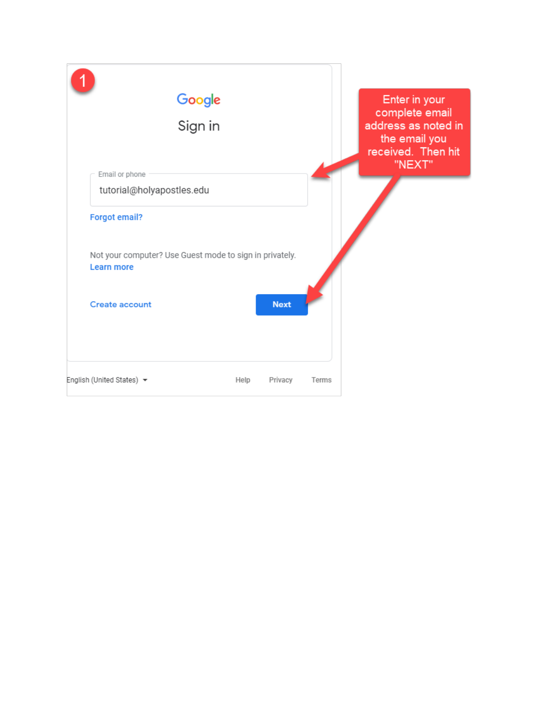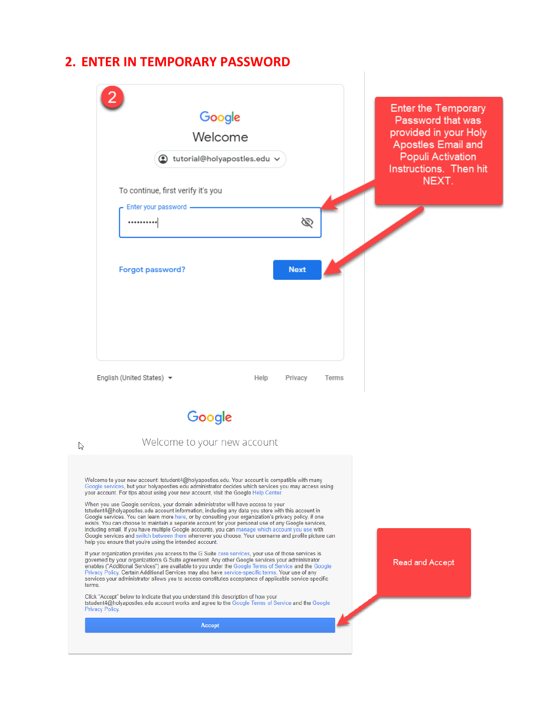#### **2. ENTER IN TEMPORARY PASSWORD**



When you use Google services, your domain administrator will have access to your<br>tstudent4@holyapostles.edu account information, including any data you store with this account in Google services. You can learn more here, or by consulting your organization's privacy policy, if one<br>exists. You can learn more here, or by consulting your organization's privacy policy, if one<br>exists. You can choose to m Google services and switch between them whenever you choose. Your username and profile picture can help you ensure that you're using the intended account.

If your organization provides you access to the G Suite core services, your use of those services is " over the by your organization's G Suite agreement. Any other Google services your administrator<br>enables ("Additional Services") are available to you under the Google Terms of Service and the Google<br>Privacy Policy. Certai services your administrator allows you to access constitutes acceptance of applicable service-specific terms.

Click "Accept" below to indicate that you understand this description of how your<br>tstudent4@holyapostles.edu account works and agree to the Google Terms of Service and the Google<br>Privacy Policy.

Accept

**Read and Accept**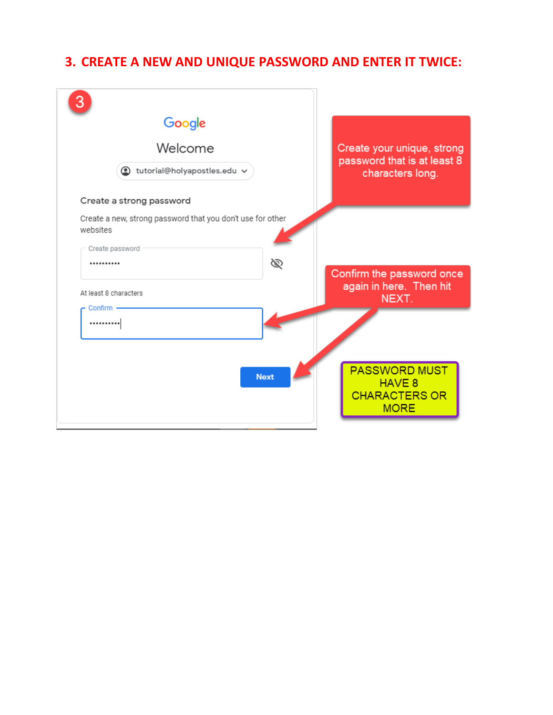# **3. CREATE A NEW AND UNIQUE PASSWORD AND ENTER IT TWICE:**

| Google                                                                 |                                                                       |
|------------------------------------------------------------------------|-----------------------------------------------------------------------|
| Welcome                                                                | Create your unique, strong                                            |
| tutorial@holyapostles.edu v                                            | password that is at least 8<br>characters long.                       |
| Create a strong password                                               |                                                                       |
| Create a new, strong password that you don't use for other<br>websites |                                                                       |
| Create password                                                        |                                                                       |
| Ø<br>                                                                  | Confirm the password once                                             |
| At least 8 characters                                                  | again in here. Then hit<br>NEXT.                                      |
| Confirm -<br>                                                          |                                                                       |
| <b>Next</b>                                                            | <b>PASSWORD MUST</b><br>HAVE 8<br><b>CHARACTERS OR</b><br><b>MORE</b> |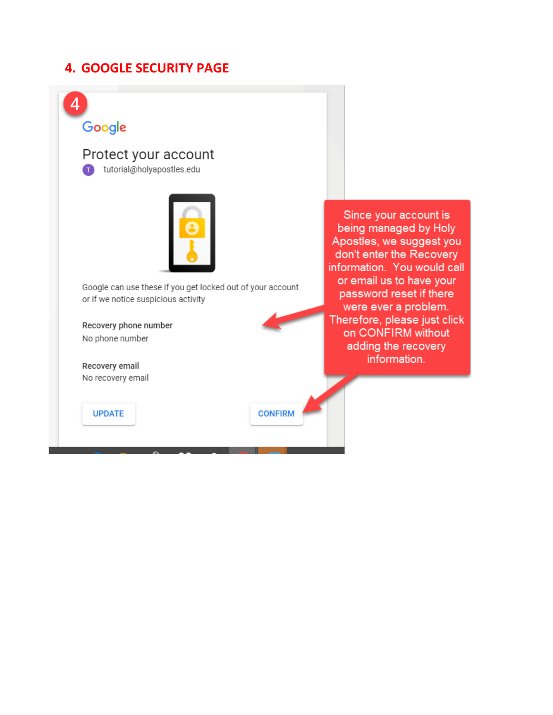## **4. GOOGLE SECURITY PAGE**

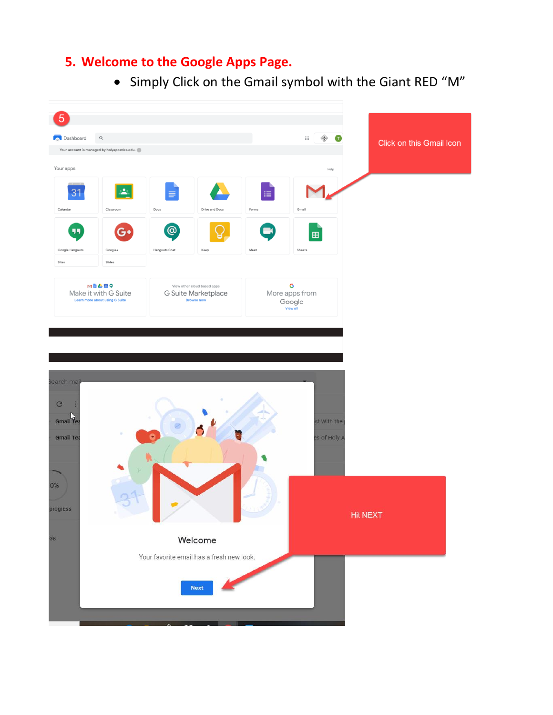## **5. Welcome to the Google Apps Page.**

• Simply Click on the Gmail symbol with the Giant RED "M"

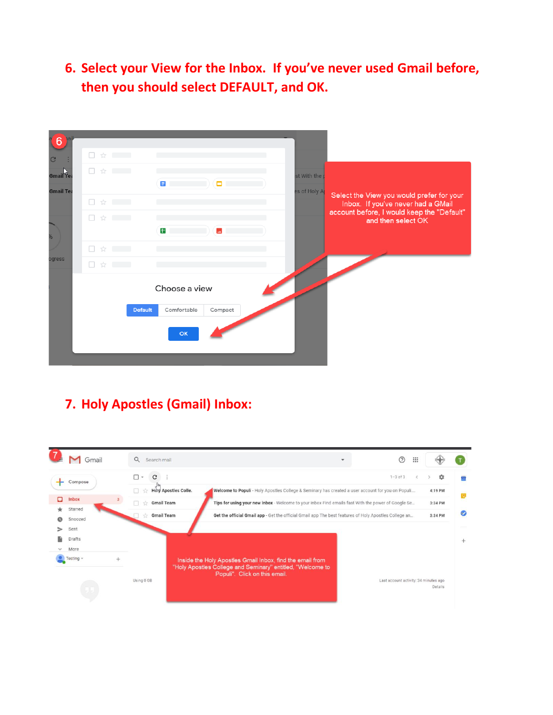# **6. Select your View for the Inbox. If you've never used Gmail before, then you should select DEFAULT, and OK.**

| Select the View you would prefer for your                                                              |
|--------------------------------------------------------------------------------------------------------|
| Inbox. If you've never had a GMail<br>account before, I would keep the "Default"<br>and then select OK |
|                                                                                                        |
|                                                                                                        |
|                                                                                                        |
|                                                                                                        |

# **7. Holy Apostles (Gmail) Inbox:**